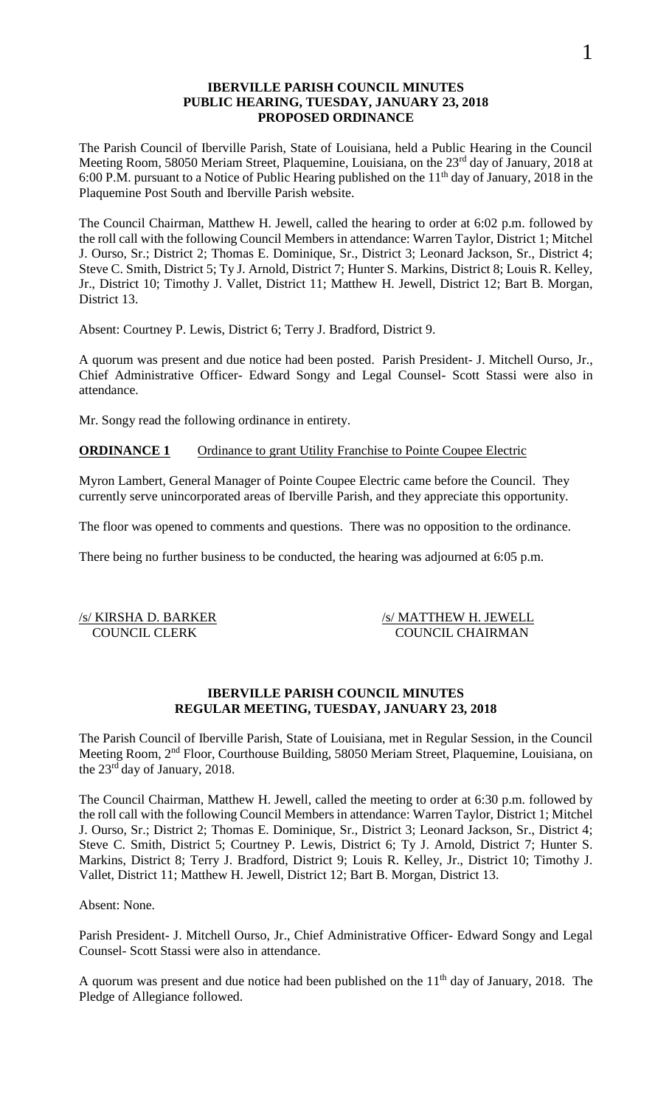#### **IBERVILLE PARISH COUNCIL MINUTES PUBLIC HEARING, TUESDAY, JANUARY 23, 2018 PROPOSED ORDINANCE**

The Parish Council of Iberville Parish, State of Louisiana, held a Public Hearing in the Council Meeting Room, 58050 Meriam Street, Plaquemine, Louisiana, on the 23<sup>rd</sup> day of January, 2018 at 6:00 P.M. pursuant to a Notice of Public Hearing published on the  $11<sup>th</sup>$  day of January, 2018 in the Plaquemine Post South and Iberville Parish website.

The Council Chairman, Matthew H. Jewell, called the hearing to order at 6:02 p.m. followed by the roll call with the following Council Members in attendance: Warren Taylor, District 1; Mitchel J. Ourso, Sr.; District 2; Thomas E. Dominique, Sr., District 3; Leonard Jackson, Sr., District 4; Steve C. Smith, District 5; Ty J. Arnold, District 7; Hunter S. Markins, District 8; Louis R. Kelley, Jr., District 10; Timothy J. Vallet, District 11; Matthew H. Jewell, District 12; Bart B. Morgan, District 13.

Absent: Courtney P. Lewis, District 6; Terry J. Bradford, District 9.

A quorum was present and due notice had been posted. Parish President- J. Mitchell Ourso, Jr., Chief Administrative Officer- Edward Songy and Legal Counsel- Scott Stassi were also in attendance.

Mr. Songy read the following ordinance in entirety.

## **ORDINANCE 1** Ordinance to grant Utility Franchise to Pointe Coupee Electric

Myron Lambert, General Manager of Pointe Coupee Electric came before the Council. They currently serve unincorporated areas of Iberville Parish, and they appreciate this opportunity.

The floor was opened to comments and questions. There was no opposition to the ordinance.

There being no further business to be conducted, the hearing was adjourned at 6:05 p.m.

/s/ KIRSHA D. BARKER /s/ MATTHEW H. JEWELL<br>COUNCIL CLERK /s/ MATTHEW H. JEWELL COUNCIL CHAIRMAN

## **IBERVILLE PARISH COUNCIL MINUTES REGULAR MEETING, TUESDAY, JANUARY 23, 2018**

The Parish Council of Iberville Parish, State of Louisiana, met in Regular Session, in the Council Meeting Room, 2nd Floor, Courthouse Building, 58050 Meriam Street, Plaquemine, Louisiana, on the 23rd day of January, 2018.

The Council Chairman, Matthew H. Jewell, called the meeting to order at 6:30 p.m. followed by the roll call with the following Council Members in attendance: Warren Taylor, District 1; Mitchel J. Ourso, Sr.; District 2; Thomas E. Dominique, Sr., District 3; Leonard Jackson, Sr., District 4; Steve C. Smith, District 5; Courtney P. Lewis, District 6; Ty J. Arnold, District 7; Hunter S. Markins, District 8; Terry J. Bradford, District 9; Louis R. Kelley, Jr., District 10; Timothy J. Vallet, District 11; Matthew H. Jewell, District 12; Bart B. Morgan, District 13.

Absent: None.

Parish President- J. Mitchell Ourso, Jr., Chief Administrative Officer- Edward Songy and Legal Counsel- Scott Stassi were also in attendance.

A quorum was present and due notice had been published on the  $11<sup>th</sup>$  day of January, 2018. The Pledge of Allegiance followed.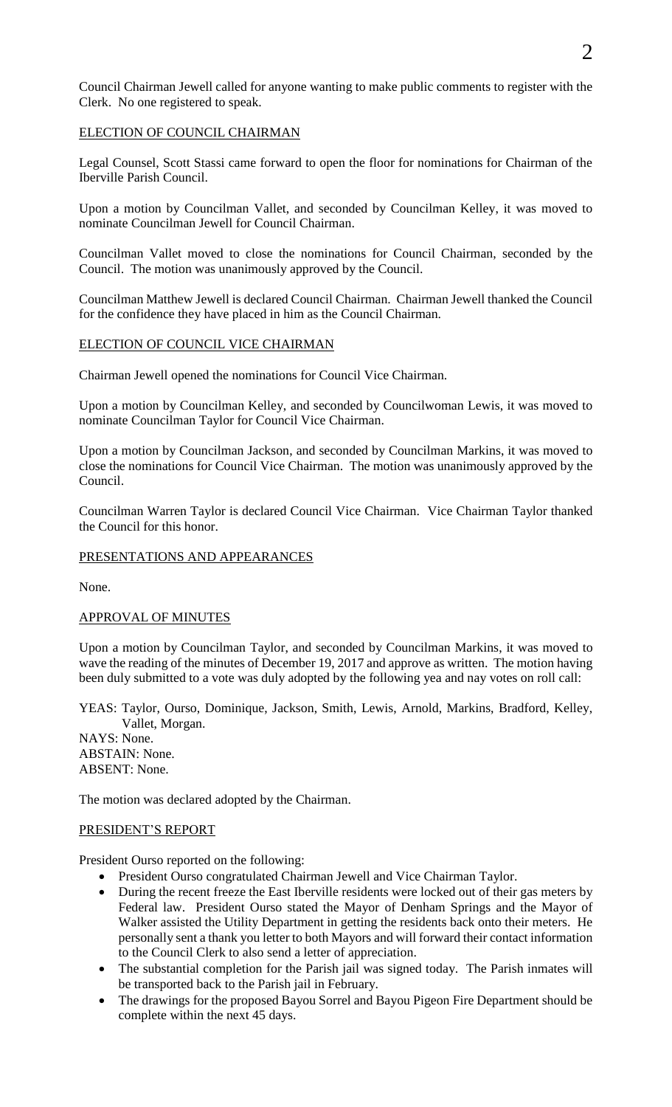Council Chairman Jewell called for anyone wanting to make public comments to register with the Clerk. No one registered to speak.

## ELECTION OF COUNCIL CHAIRMAN

Legal Counsel, Scott Stassi came forward to open the floor for nominations for Chairman of the Iberville Parish Council.

Upon a motion by Councilman Vallet, and seconded by Councilman Kelley, it was moved to nominate Councilman Jewell for Council Chairman.

Councilman Vallet moved to close the nominations for Council Chairman, seconded by the Council. The motion was unanimously approved by the Council.

Councilman Matthew Jewell is declared Council Chairman. Chairman Jewell thanked the Council for the confidence they have placed in him as the Council Chairman.

#### ELECTION OF COUNCIL VICE CHAIRMAN

Chairman Jewell opened the nominations for Council Vice Chairman.

Upon a motion by Councilman Kelley, and seconded by Councilwoman Lewis, it was moved to nominate Councilman Taylor for Council Vice Chairman.

Upon a motion by Councilman Jackson, and seconded by Councilman Markins, it was moved to close the nominations for Council Vice Chairman. The motion was unanimously approved by the Council.

Councilman Warren Taylor is declared Council Vice Chairman. Vice Chairman Taylor thanked the Council for this honor.

#### PRESENTATIONS AND APPEARANCES

None.

#### APPROVAL OF MINUTES

Upon a motion by Councilman Taylor, and seconded by Councilman Markins, it was moved to wave the reading of the minutes of December 19, 2017 and approve as written. The motion having been duly submitted to a vote was duly adopted by the following yea and nay votes on roll call:

YEAS: Taylor, Ourso, Dominique, Jackson, Smith, Lewis, Arnold, Markins, Bradford, Kelley, Vallet, Morgan.

NAYS: None. ABSTAIN: None. ABSENT: None.

The motion was declared adopted by the Chairman.

#### PRESIDENT'S REPORT

President Ourso reported on the following:

- President Ourso congratulated Chairman Jewell and Vice Chairman Taylor.
- During the recent freeze the East Iberville residents were locked out of their gas meters by Federal law. President Ourso stated the Mayor of Denham Springs and the Mayor of Walker assisted the Utility Department in getting the residents back onto their meters. He personally sent a thank you letter to both Mayors and will forward their contact information to the Council Clerk to also send a letter of appreciation.
- The substantial completion for the Parish jail was signed today. The Parish inmates will be transported back to the Parish jail in February.
- The drawings for the proposed Bayou Sorrel and Bayou Pigeon Fire Department should be complete within the next 45 days.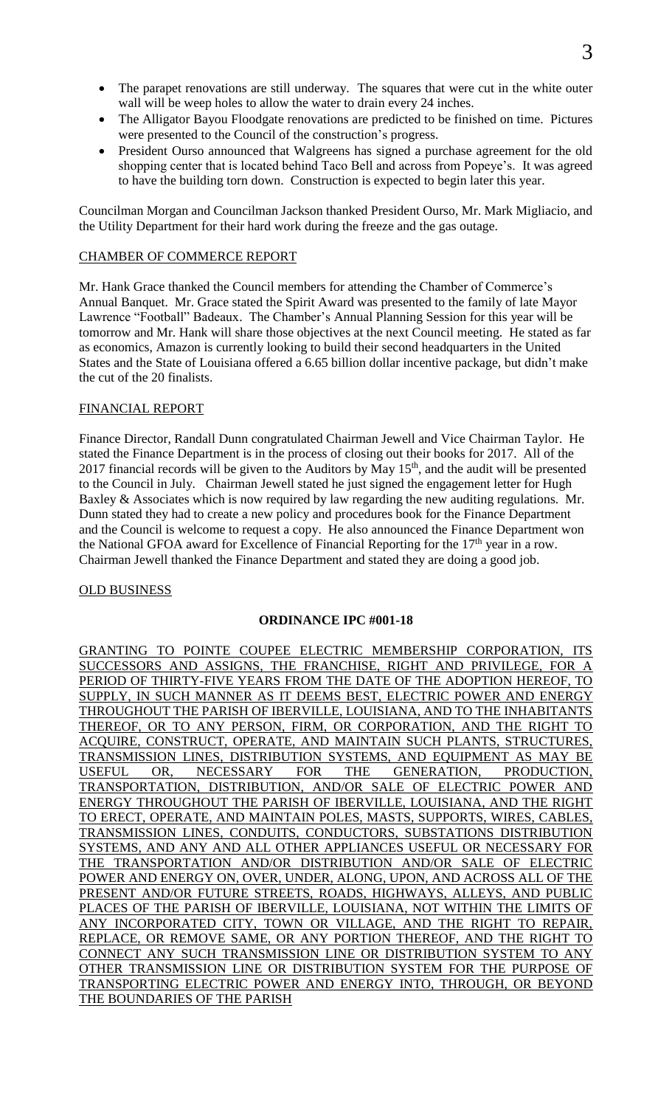- The parapet renovations are still underway. The squares that were cut in the white outer wall will be weep holes to allow the water to drain every 24 inches.
- The Alligator Bayou Floodgate renovations are predicted to be finished on time. Pictures were presented to the Council of the construction's progress.
- President Ourso announced that Walgreens has signed a purchase agreement for the old shopping center that is located behind Taco Bell and across from Popeye's. It was agreed to have the building torn down. Construction is expected to begin later this year.

Councilman Morgan and Councilman Jackson thanked President Ourso, Mr. Mark Migliacio, and the Utility Department for their hard work during the freeze and the gas outage.

#### CHAMBER OF COMMERCE REPORT

Mr. Hank Grace thanked the Council members for attending the Chamber of Commerce's Annual Banquet. Mr. Grace stated the Spirit Award was presented to the family of late Mayor Lawrence "Football" Badeaux. The Chamber's Annual Planning Session for this year will be tomorrow and Mr. Hank will share those objectives at the next Council meeting. He stated as far as economics, Amazon is currently looking to build their second headquarters in the United States and the State of Louisiana offered a 6.65 billion dollar incentive package, but didn't make the cut of the 20 finalists.

#### FINANCIAL REPORT

Finance Director, Randall Dunn congratulated Chairman Jewell and Vice Chairman Taylor. He stated the Finance Department is in the process of closing out their books for 2017. All of the 2017 financial records will be given to the Auditors by May  $15<sup>th</sup>$ , and the audit will be presented to the Council in July. Chairman Jewell stated he just signed the engagement letter for Hugh Baxley & Associates which is now required by law regarding the new auditing regulations. Mr. Dunn stated they had to create a new policy and procedures book for the Finance Department and the Council is welcome to request a copy. He also announced the Finance Department won the National GFOA award for Excellence of Financial Reporting for the  $17<sup>th</sup>$  year in a row. Chairman Jewell thanked the Finance Department and stated they are doing a good job.

## OLD BUSINESS

## **ORDINANCE IPC #001-18**

GRANTING TO POINTE COUPEE ELECTRIC MEMBERSHIP CORPORATION, ITS SUCCESSORS AND ASSIGNS, THE FRANCHISE, RIGHT AND PRIVILEGE, FOR A PERIOD OF THIRTY-FIVE YEARS FROM THE DATE OF THE ADOPTION HEREOF, TO SUPPLY, IN SUCH MANNER AS IT DEEMS BEST, ELECTRIC POWER AND ENERGY THROUGHOUT THE PARISH OF IBERVILLE, LOUISIANA, AND TO THE INHABITANTS THEREOF, OR TO ANY PERSON, FIRM, OR CORPORATION, AND THE RIGHT TO ACQUIRE, CONSTRUCT, OPERATE, AND MAINTAIN SUCH PLANTS, STRUCTURES, TRANSMISSION LINES, DISTRIBUTION SYSTEMS, AND EQUIPMENT AS MAY BE USEFUL OR, NECESSARY FOR THE GENERATION, PRODUCTION, TRANSPORTATION, DISTRIBUTION, AND/OR SALE OF ELECTRIC POWER AND ENERGY THROUGHOUT THE PARISH OF IBERVILLE, LOUISIANA, AND THE RIGHT TO ERECT, OPERATE, AND MAINTAIN POLES, MASTS, SUPPORTS, WIRES, CABLES, TRANSMISSION LINES, CONDUITS, CONDUCTORS, SUBSTATIONS DISTRIBUTION SYSTEMS, AND ANY AND ALL OTHER APPLIANCES USEFUL OR NECESSARY FOR THE TRANSPORTATION AND/OR DISTRIBUTION AND/OR SALE OF ELECTRIC POWER AND ENERGY ON, OVER, UNDER, ALONG, UPON, AND ACROSS ALL OF THE PRESENT AND/OR FUTURE STREETS, ROADS, HIGHWAYS, ALLEYS, AND PUBLIC PLACES OF THE PARISH OF IBERVILLE, LOUISIANA, NOT WITHIN THE LIMITS OF ANY INCORPORATED CITY, TOWN OR VILLAGE, AND THE RIGHT TO REPAIR, REPLACE, OR REMOVE SAME, OR ANY PORTION THEREOF, AND THE RIGHT TO CONNECT ANY SUCH TRANSMISSION LINE OR DISTRIBUTION SYSTEM TO ANY OTHER TRANSMISSION LINE OR DISTRIBUTION SYSTEM FOR THE PURPOSE OF TRANSPORTING ELECTRIC POWER AND ENERGY INTO, THROUGH, OR BEYOND THE BOUNDARIES OF THE PARISH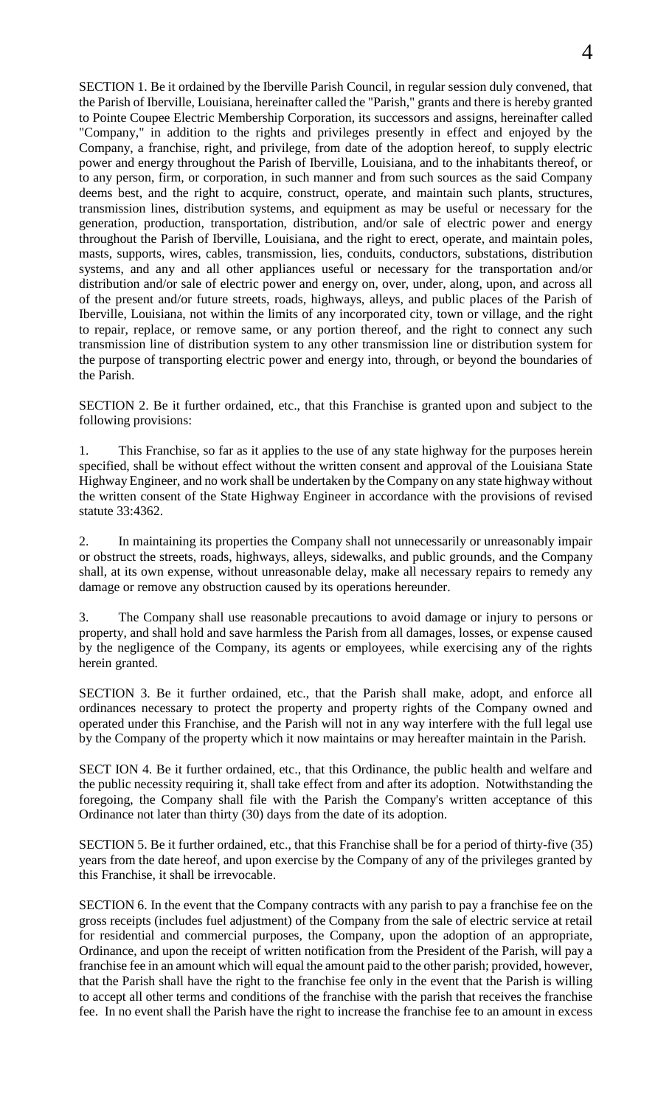SECTION 1. Be it ordained by the Iberville Parish Council, in regular session duly convened, that the Parish of Iberville, Louisiana, hereinafter called the "Parish," grants and there is hereby granted to Pointe Coupee Electric Membership Corporation, its successors and assigns, hereinafter called "Company," in addition to the rights and privileges presently in effect and enjoyed by the Company, a franchise, right, and privilege, from date of the adoption hereof, to supply electric power and energy throughout the Parish of Iberville, Louisiana, and to the inhabitants thereof, or to any person, firm, or corporation, in such manner and from such sources as the said Company deems best, and the right to acquire, construct, operate, and maintain such plants, structures, transmission lines, distribution systems, and equipment as may be useful or necessary for the generation, production, transportation, distribution, and/or sale of electric power and energy throughout the Parish of Iberville, Louisiana, and the right to erect, operate, and maintain poles, masts, supports, wires, cables, transmission, lies, conduits, conductors, substations, distribution systems, and any and all other appliances useful or necessary for the transportation and/or distribution and/or sale of electric power and energy on, over, under, along, upon, and across all of the present and/or future streets, roads, highways, alleys, and public places of the Parish of Iberville, Louisiana, not within the limits of any incorporated city, town or village, and the right to repair, replace, or remove same, or any portion thereof, and the right to connect any such transmission line of distribution system to any other transmission line or distribution system for the purpose of transporting electric power and energy into, through, or beyond the boundaries of the Parish.

SECTION 2. Be it further ordained, etc., that this Franchise is granted upon and subject to the following provisions:

1. This Franchise, so far as it applies to the use of any state highway for the purposes herein specified, shall be without effect without the written consent and approval of the Louisiana State Highway Engineer, and no work shall be undertaken by the Company on any state highway without the written consent of the State Highway Engineer in accordance with the provisions of revised statute 33:4362.

2. In maintaining its properties the Company shall not unnecessarily or unreasonably impair or obstruct the streets, roads, highways, alleys, sidewalks, and public grounds, and the Company shall, at its own expense, without unreasonable delay, make all necessary repairs to remedy any damage or remove any obstruction caused by its operations hereunder.

3. The Company shall use reasonable precautions to avoid damage or injury to persons or property, and shall hold and save harmless the Parish from all damages, losses, or expense caused by the negligence of the Company, its agents or employees, while exercising any of the rights herein granted.

SECTION 3. Be it further ordained, etc., that the Parish shall make, adopt, and enforce all ordinances necessary to protect the property and property rights of the Company owned and operated under this Franchise, and the Parish will not in any way interfere with the full legal use by the Company of the property which it now maintains or may hereafter maintain in the Parish.

SECT ION 4. Be it further ordained, etc., that this Ordinance, the public health and welfare and the public necessity requiring it, shall take effect from and after its adoption. Notwithstanding the foregoing, the Company shall file with the Parish the Company's written acceptance of this Ordinance not later than thirty (30) days from the date of its adoption.

SECTION 5. Be it further ordained, etc., that this Franchise shall be for a period of thirty-five (35) years from the date hereof, and upon exercise by the Company of any of the privileges granted by this Franchise, it shall be irrevocable.

SECTION 6. In the event that the Company contracts with any parish to pay a franchise fee on the gross receipts (includes fuel adjustment) of the Company from the sale of electric service at retail for residential and commercial purposes, the Company, upon the adoption of an appropriate, Ordinance, and upon the receipt of written notification from the President of the Parish, will pay a franchise fee in an amount which will equal the amount paid to the other parish; provided, however, that the Parish shall have the right to the franchise fee only in the event that the Parish is willing to accept all other terms and conditions of the franchise with the parish that receives the franchise fee. In no event shall the Parish have the right to increase the franchise fee to an amount in excess